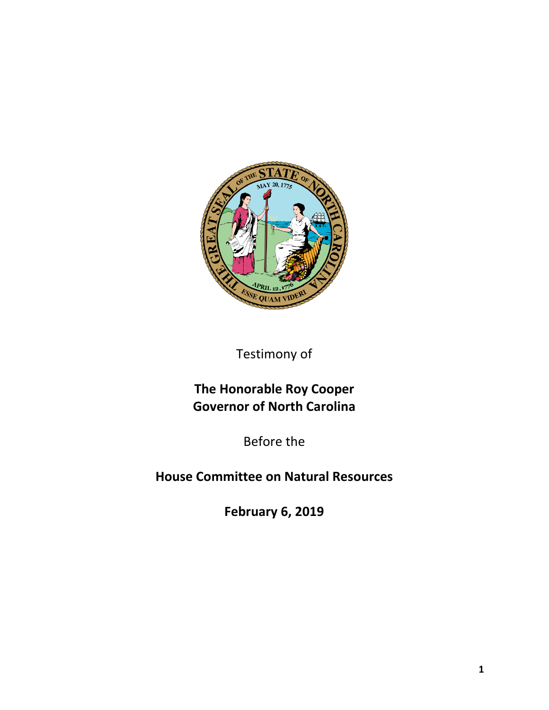

Testimony of

## **The Honorable Roy Cooper Governor of North Carolina**

Before the

**House Committee on Natural Resources**

**February 6, 2019**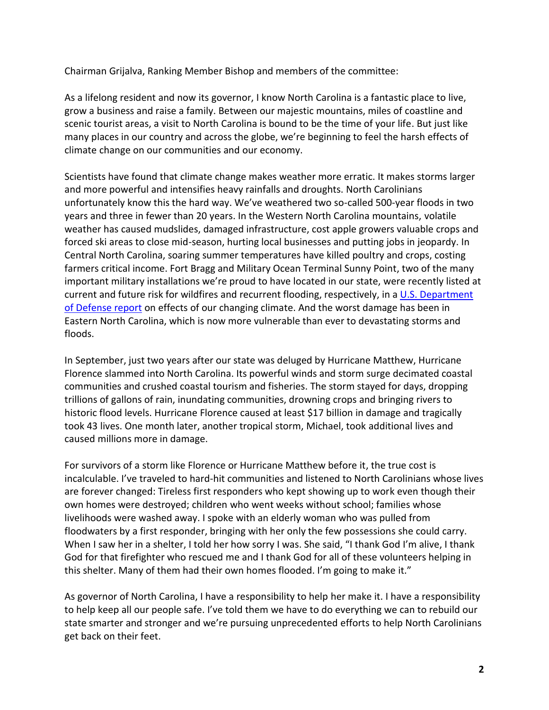Chairman Grijalva, Ranking Member Bishop and members of the committee:

As a lifelong resident and now its governor, I know North Carolina is a fantastic place to live, grow a business and raise a family. Between our majestic mountains, miles of coastline and scenic tourist areas, a visit to North Carolina is bound to be the time of your life. But just like many places in our country and across the globe, we're beginning to feel the harsh effects of climate change on our communities and our economy.

Scientists have found that climate change makes weather more erratic. It makes storms larger and more powerful and intensifies heavy rainfalls and droughts. North Carolinians unfortunately know this the hard way. We've weathered two so-called 500-year floods in two years and three in fewer than 20 years. In the Western North Carolina mountains, volatile weather has caused mudslides, damaged infrastructure, cost apple growers valuable crops and forced ski areas to close mid-season, hurting local businesses and putting jobs in jeopardy. In Central North Carolina, soaring summer temperatures have killed poultry and crops, costing farmers critical income. Fort Bragg and Military Ocean Terminal Sunny Point, two of the many important military installations we're proud to have located in our state, were recently listed at current and future risk for wildfires and recurrent flooding, respectively, in a [U.S. Department](https://www.americansecurityproject.org/wp-content/uploads/2019/01/DoD-Effects-of-a-Changing-Climate-to-the-Department-of-Defense.pdf)  [of Defense report](https://www.americansecurityproject.org/wp-content/uploads/2019/01/DoD-Effects-of-a-Changing-Climate-to-the-Department-of-Defense.pdf) on effects of our changing climate. And the worst damage has been in Eastern North Carolina, which is now more vulnerable than ever to devastating storms and floods.

In September, just two years after our state was deluged by Hurricane Matthew, Hurricane Florence slammed into North Carolina. Its powerful winds and storm surge decimated coastal communities and crushed coastal tourism and fisheries. The storm stayed for days, dropping trillions of gallons of rain, inundating communities, drowning crops and bringing rivers to historic flood levels. Hurricane Florence caused at least \$17 billion in damage and tragically took 43 lives. One month later, another tropical storm, Michael, took additional lives and caused millions more in damage.

For survivors of a storm like Florence or Hurricane Matthew before it, the true cost is incalculable. I've traveled to hard-hit communities and listened to North Carolinians whose lives are forever changed: Tireless first responders who kept showing up to work even though their own homes were destroyed; children who went weeks without school; families whose livelihoods were washed away. I spoke with an elderly woman who was pulled from floodwaters by a first responder, bringing with her only the few possessions she could carry. When I saw her in a shelter, I told her how sorry I was. She said, "I thank God I'm alive, I thank God for that firefighter who rescued me and I thank God for all of these volunteers helping in this shelter. Many of them had their own homes flooded. I'm going to make it."

As governor of North Carolina, I have a responsibility to help her make it. I have a responsibility to help keep all our people safe. I've told them we have to do everything we can to rebuild our state smarter and stronger and we're pursuing unprecedented efforts to help North Carolinians get back on their feet.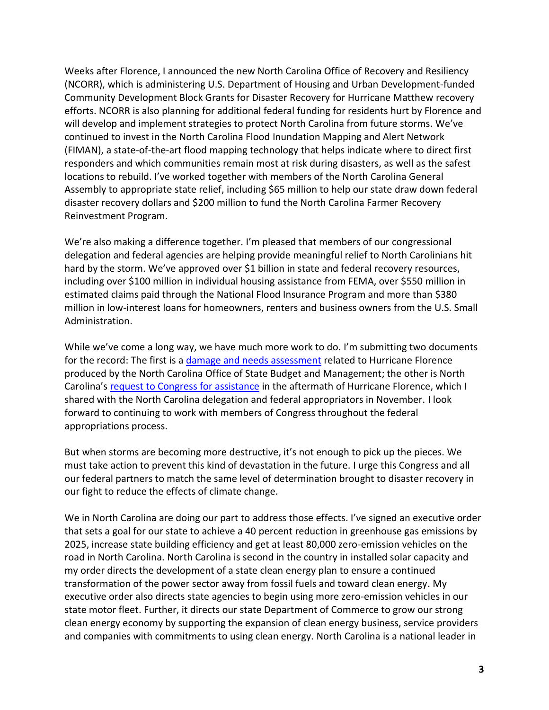Weeks after Florence, I announced the new North Carolina Office of Recovery and Resiliency (NCORR), which is administering U.S. Department of Housing and Urban Development-funded Community Development Block Grants for Disaster Recovery for Hurricane Matthew recovery efforts. NCORR is also planning for additional federal funding for residents hurt by Florence and will develop and implement strategies to protect North Carolina from future storms. We've continued to invest in the North Carolina Flood Inundation Mapping and Alert Network (FIMAN), a state-of-the-art flood mapping technology that helps indicate where to direct first responders and which communities remain most at risk during disasters, as well as the safest locations to rebuild. I've worked together with members of the North Carolina General Assembly to appropriate state relief, including \$65 million to help our state draw down federal disaster recovery dollars and \$200 million to fund the North Carolina Farmer Recovery Reinvestment Program.

We're also making a difference together. I'm pleased that members of our congressional delegation and federal agencies are helping provide meaningful relief to North Carolinians hit hard by the storm. We've approved over \$1 billion in state and federal recovery resources, including over \$100 million in individual housing assistance from FEMA, over \$550 million in estimated claims paid through the National Flood Insurance Program and more than \$380 million in low-interest loans for homeowners, renters and business owners from the U.S. Small Administration.

While we've come a long way, we have much more work to do. I'm submitting two documents for the record: The first is a [damage and needs assessment](https://files.nc.gov/ncosbm/documents/files/Florence_Report_Full_rev20181016v10.pdf) related to Hurricane Florence produced by the North Carolina Office of State Budget and Management; the other is North Carolina's [request to Congress for assistance](https://files.nc.gov/governor/documents/files/Hurricane%20Florence%20Appropriation%20and%20Leadership%20Request%2011-28-18.pdf) in the aftermath of Hurricane Florence, which I shared with the North Carolina delegation and federal appropriators in November. I look forward to continuing to work with members of Congress throughout the federal appropriations process.

But when storms are becoming more destructive, it's not enough to pick up the pieces. We must take action to prevent this kind of devastation in the future. I urge this Congress and all our federal partners to match the same level of determination brought to disaster recovery in our fight to reduce the effects of climate change.

We in North Carolina are doing our part to address those effects. I've signed an executive order that sets a goal for our state to achieve a 40 percent reduction in greenhouse gas emissions by 2025, increase state building efficiency and get at least 80,000 zero-emission vehicles on the road in North Carolina. North Carolina is second in the country in installed solar capacity and my order directs the development of a state clean energy plan to ensure a continued transformation of the power sector away from fossil fuels and toward clean energy. My executive order also directs state agencies to begin using more zero-emission vehicles in our state motor fleet. Further, it directs our state Department of Commerce to grow our strong clean energy economy by supporting the expansion of clean energy business, service providers and companies with commitments to using clean energy. North Carolina is a national leader in